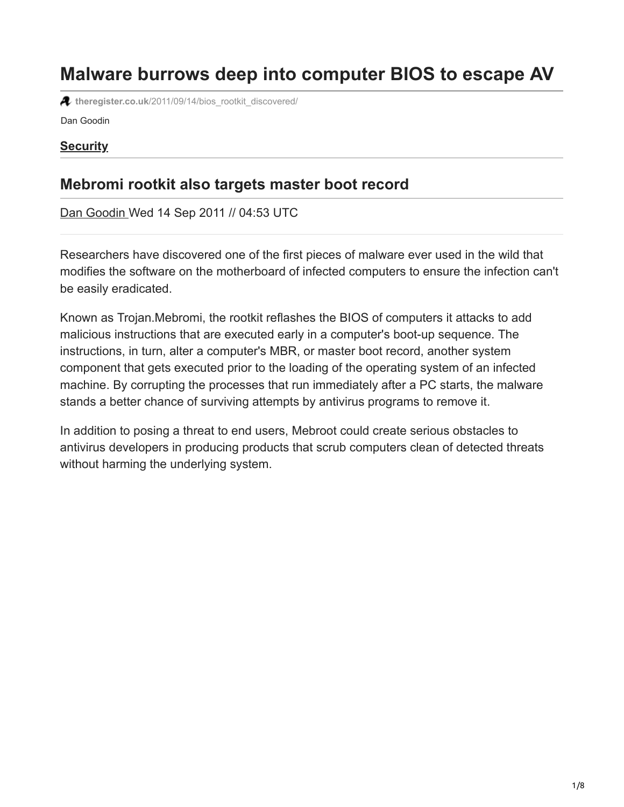# **Malware burrows deep into computer BIOS to escape AV**

**theregister.co.uk**[/2011/09/14/bios\\_rootkit\\_discovered/](http://www.theregister.co.uk/2011/09/14/bios_rootkit_discovered/)

Dan Goodin

#### **[Security](http://www.theregister.co.uk/security/)**

## **Mebromi rootkit also targets master boot record**

[Dan Goodin](http://www.theregister.co.uk/Author/Dan-Goodin) Wed 14 Sep 2011 // 04:53 UTC

Researchers have discovered one of the first pieces of malware ever used in the wild that modifies the software on the motherboard of infected computers to ensure the infection can't be easily eradicated.

Known as Trojan.Mebromi, the rootkit reflashes the BIOS of computers it attacks to add malicious instructions that are executed early in a computer's boot-up sequence. The instructions, in turn, alter a computer's MBR, or master boot record, another system component that gets executed prior to the loading of the operating system of an infected machine. By corrupting the processes that run immediately after a PC starts, the malware stands a better chance of surviving attempts by antivirus programs to remove it.

In addition to posing a threat to end users, Mebroot could create serious obstacles to antivirus developers in producing products that scrub computers clean of detected threats without harming the underlying system.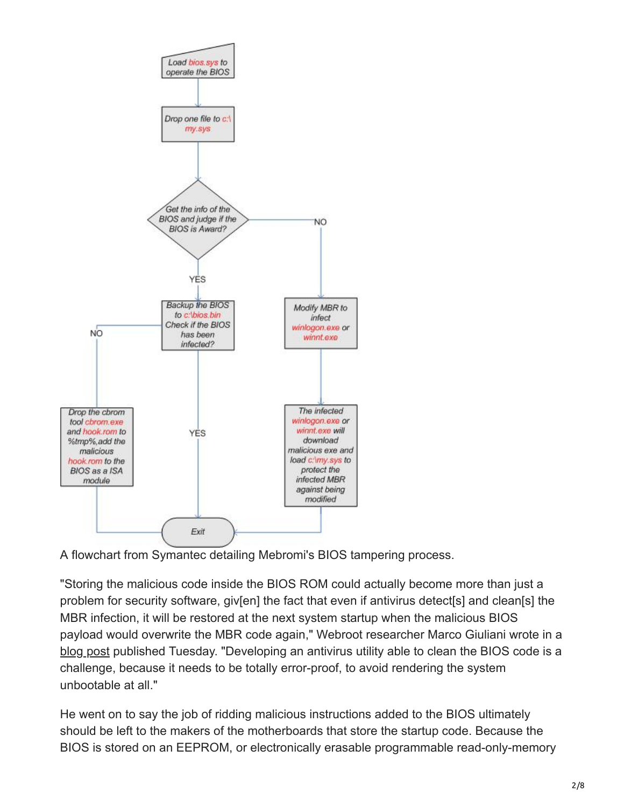

A flowchart from Symantec detailing Mebromi's BIOS tampering process.

"Storing the malicious code inside the BIOS ROM could actually become more than just a problem for security software, giv[en] the fact that even if antivirus detect[s] and clean[s] the MBR infection, it will be restored at the next system startup when the malicious BIOS payload would overwrite the MBR code again," Webroot researcher Marco Giuliani wrote in a [blog post](http://blog.webroot.com/2011/09/13/mebromi-the-first-bios-rootkit-in-the-wild/) published Tuesday. "Developing an antivirus utility able to clean the BIOS code is a challenge, because it needs to be totally error-proof, to avoid rendering the system unbootable at all."

He went on to say the job of ridding malicious instructions added to the BIOS ultimately should be left to the makers of the motherboards that store the startup code. Because the BIOS is stored on an EEPROM, or electronically erasable programmable read-only-memory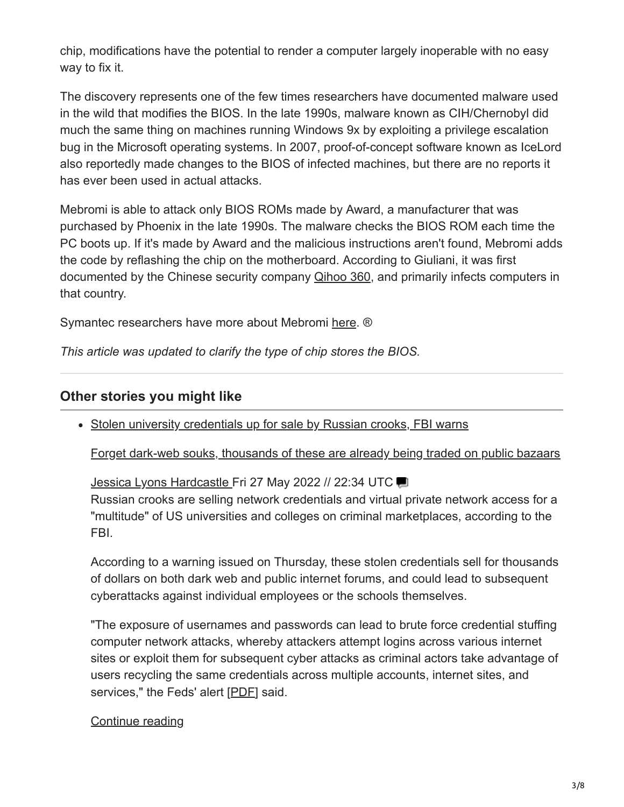chip, modifications have the potential to render a computer largely inoperable with no easy way to fix it.

The discovery represents one of the few times researchers have documented malware used in the wild that modifies the BIOS. In the late 1990s, malware known as CIH/Chernobyl did much the same thing on machines running Windows 9x by exploiting a privilege escalation bug in the Microsoft operating systems. In 2007, proof-of-concept software known as IceLord also reportedly made changes to the BIOS of infected machines, but there are no reports it has ever been used in actual attacks.

Mebromi is able to attack only BIOS ROMs made by Award, a manufacturer that was purchased by Phoenix in the late 1990s. The malware checks the BIOS ROM each time the PC boots up. If it's made by Award and the malicious instructions aren't found, Mebromi adds the code by reflashing the chip on the motherboard. According to Giuliani, it was first documented by the Chinese security company [Qihoo 360,](http://bbs.360.cn/4005462/251096134.html) and primarily infects computers in that country.

Symantec researchers have more about Mebromi [here.](http://www.symantec.com/connect/blogs/bios-threat-showing-again) ®

*This article was updated to clarify the type of chip stores the BIOS.*

### **Other stories you might like**

• Stolen university credentials up for sale by Russian crooks, FBI warns

[Forget dark-web souks, thousands of these are already being traded on public bazaars](http://www.theregister.co.uk/2022/05/27/fbi_warning_stolen_university_credentials/?td=keepreading-top)

[Jessica Lyons Hardcastle F](http://www.theregister.co.uk/Author/Jessica-Lyons-Hardcastle)ri 27 May 2022 // 22:34 UTC Russian crooks are selling network credentials and virtual private network access for a "multitude" of US universities and colleges on criminal marketplaces, according to the FBI.

According to a warning issued on Thursday, these stolen credentials sell for thousands of dollars on both dark web and public internet forums, and could lead to subsequent cyberattacks against individual employees or the schools themselves.

"The exposure of usernames and passwords can lead to brute force credential stuffing computer network attacks, whereby attackers attempt logins across various internet sites or exploit them for subsequent cyber attacks as criminal actors take advantage of users recycling the same credentials across multiple accounts, internet sites, and services," the Feds' alert [\[PDF](https://www.ic3.gov/Media/News/2022/220526.pdf)] said.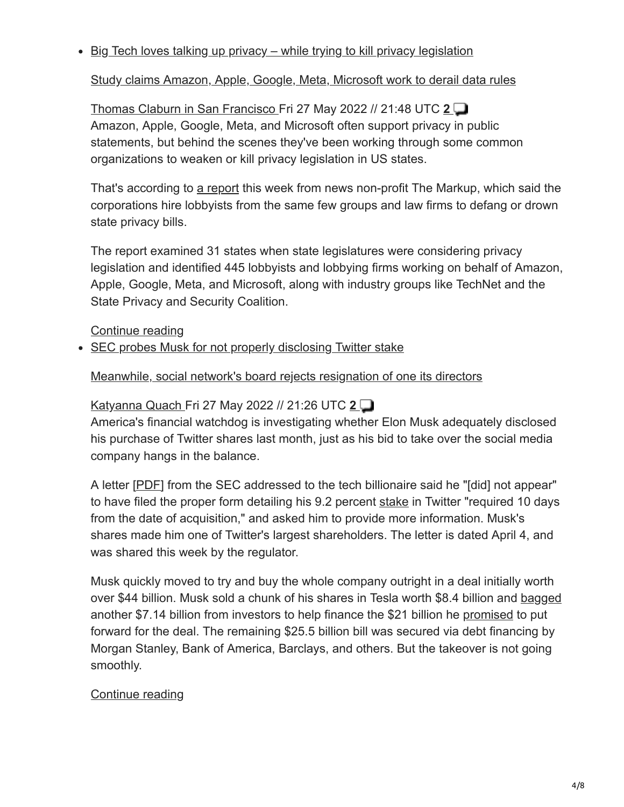$\bullet$  Big Tech loves talking up privacy – while trying to kill privacy legislation

[Study claims Amazon, Apple, Google, Meta, Microsoft work to derail data rules](http://www.theregister.co.uk/2022/05/27/big_tech_privacy/?td=keepreading-top)

[Thomas Claburn in San Francisco F](http://www.theregister.co.uk/Author/Thomas-Claburn)ri 27 May 2022 // 21:48 UTC **[2](https://forums.theregister.com/forum/all/2022/05/27/big_tech_privacy/)** Amazon, Apple, Google, Meta, and Microsoft often support privacy in public statements, but behind the scenes they've been working through some common organizations to weaken or kill privacy legislation in US states.

That's according to [a report](https://themarkup.org/privacy/2022/05/26/tech-industry-groups-are-watering-down-attempts-at-privacy-regulation-one-state-at-a-time) this week from news non-profit The Markup, which said the corporations hire lobbyists from the same few groups and law firms to defang or drown state privacy bills.

The report examined 31 states when state legislatures were considering privacy legislation and identified 445 lobbyists and lobbying firms working on behalf of Amazon, Apple, Google, Meta, and Microsoft, along with industry groups like TechNet and the State Privacy and Security Coalition.

[Continue reading](http://www.theregister.co.uk/2022/05/27/big_tech_privacy/?td=keepreading-btm)

• SEC probes Musk for not properly disclosing Twitter stake

### [Meanwhile, social network's board rejects resignation of one its directors](http://www.theregister.co.uk/2022/05/27/the_sec_is_probing_elon/?td=keepreading-top)

# [Katyanna Quach F](http://www.theregister.co.uk/Author/Katyanna-Quach)ri 27 May 2022 // 21:26 UTC **[2](https://forums.theregister.com/forum/all/2022/05/27/the_sec_is_probing_elon/)**

America's financial watchdog is investigating whether Elon Musk adequately disclosed his purchase of Twitter shares last month, just as his bid to take over the social media company hangs in the balance.

A letter [[PDF\]](https://www.sec.gov/Archives/edgar/data/1418091/000000000022003713/filename1.pdf) from the SEC addressed to the tech billionaire said he "[did] not appear" to have filed the proper form detailing his 9.2 percent [stake](https://www.theregister.com/2022/04/04/elon_musk_twitter/) in Twitter "required 10 days from the date of acquisition," and asked him to provide more information. Musk's shares made him one of Twitter's largest shareholders. The letter is dated April 4, and was shared this week by the regulator.

Musk quickly moved to try and buy the whole company outright in a deal initially worth over \$44 billion. Musk sold a chunk of his shares in Tesla worth \$8.4 billion and [bagged](https://www.theregister.com/2022/05/05/musk_twitter_ellison/) another \$7.14 billion from investors to help finance the \$21 billion he [promised](https://www.theregister.com/2022/04/21/musk_twitter_funding/) to put forward for the deal. The remaining \$25.5 billion bill was secured via debt financing by Morgan Stanley, Bank of America, Barclays, and others. But the takeover is not going smoothly.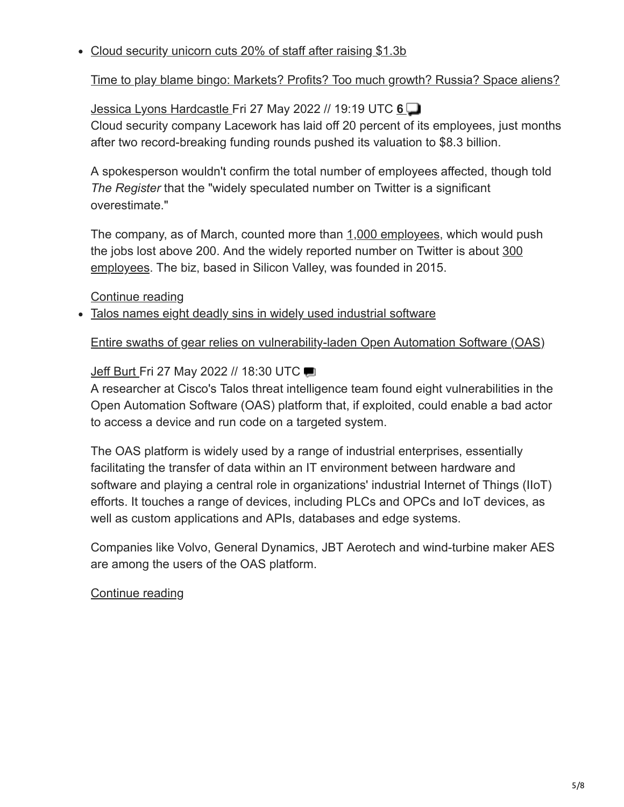### Cloud security unicorn cuts 20% of staff after raising \$1.3b

[Time to play blame bingo: Markets? Profits? Too much growth? Russia? Space aliens?](http://www.theregister.co.uk/2022/05/27/lacework_cuts_jobs/?td=keepreading-top)

[Jessica Lyons Hardcastle F](http://www.theregister.co.uk/Author/Jessica-Lyons-Hardcastle)ri 27 May 2022 // 19:19 UTC **[6](https://forums.theregister.com/forum/all/2022/05/27/lacework_cuts_jobs/)** Cloud security company Lacework has laid off 20 percent of its employees, just months after two record-breaking funding rounds pushed its valuation to \$8.3 billion.

A spokesperson wouldn't confirm the total number of employees affected, though told *The Register* that the "widely speculated number on Twitter is a significant overestimate."

The company, as of March, counted more than [1,000 employees,](https://venturebeat.com/2022/03/17/cybersecurity-has-53-unicorns-here-are-10-to-watch/) which would push [the jobs lost above 200. And the widely reported number on Twitter is about 300](https://twitter.com/GergelyOrosz/status/1529575067117658112) employees. The biz, based in Silicon Valley, was founded in 2015.

[Continue reading](http://www.theregister.co.uk/2022/05/27/lacework_cuts_jobs/?td=keepreading-btm)

• Talos names eight deadly sins in widely used industrial software

[Entire swaths of gear relies on vulnerability-laden Open Automation Software \(OAS\)](http://www.theregister.co.uk/2022/05/27/talos-aos-vulnerabilities/?td=keepreading-top)

### [Jeff Burt](http://www.theregister.co.uk/Author/Jeff-Burt) Fri 27 May 2022 // 18:30 UTC

A researcher at Cisco's Talos threat intelligence team found eight vulnerabilities in the Open Automation Software (OAS) platform that, if exploited, could enable a bad actor to access a device and run code on a targeted system.

The OAS platform is widely used by a range of industrial enterprises, essentially facilitating the transfer of data within an IT environment between hardware and software and playing a central role in organizations' industrial Internet of Things (IIoT) efforts. It touches a range of devices, including PLCs and OPCs and IoT devices, as well as custom applications and APIs, databases and edge systems.

Companies like Volvo, General Dynamics, JBT Aerotech and wind-turbine maker AES are among the users of the OAS platform.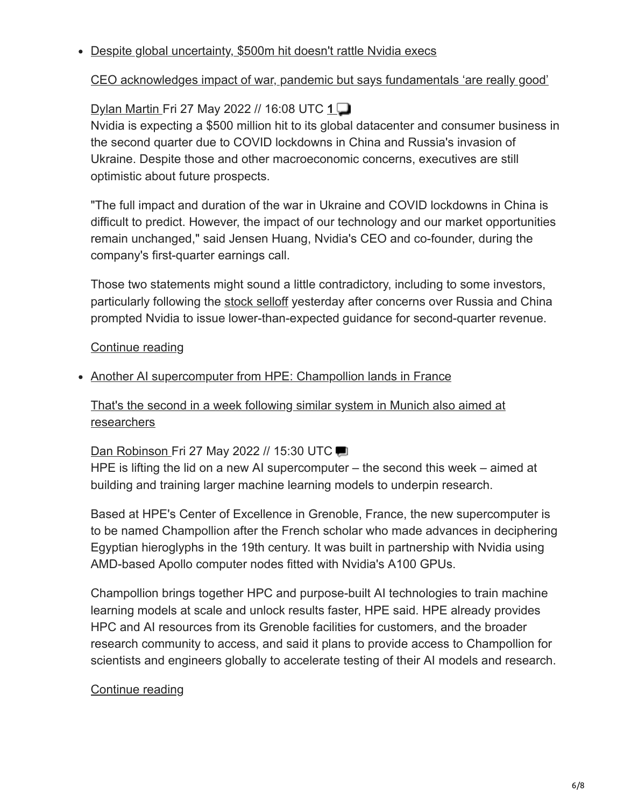#### Despite global uncertainty, \$500m hit doesn't rattle Nvidia execs

### [CEO acknowledges impact of war, pandemic but says fundamentals 'are really good'](http://www.theregister.co.uk/2022/05/27/nvidia_shrugs_off_global_chaos/?td=keepreading-top)

## [Dylan Martin F](http://www.theregister.co.uk/Author/Dylan-Martin)ri 27 May 2022 // 16:08 UTC **[1](https://forums.theregister.com/forum/all/2022/05/27/nvidia_shrugs_off_global_chaos/)**

Nvidia is expecting a \$500 million hit to its global datacenter and consumer business in the second quarter due to COVID lockdowns in China and Russia's invasion of Ukraine. Despite those and other macroeconomic concerns, executives are still optimistic about future prospects.

"The full impact and duration of the war in Ukraine and COVID lockdowns in China is difficult to predict. However, the impact of our technology and our market opportunities remain unchanged," said Jensen Huang, Nvidia's CEO and co-founder, during the company's first-quarter earnings call.

Those two statements might sound a little contradictory, including to some investors, particularly following the [stock selloff](https://www.theregister.com/2022/05/26/nvidia_q1fy2023_outlook/) yesterday after concerns over Russia and China prompted Nvidia to issue lower-than-expected guidance for second-quarter revenue.

#### [Continue reading](http://www.theregister.co.uk/2022/05/27/nvidia_shrugs_off_global_chaos/?td=keepreading-btm)

#### • Another AI supercomputer from HPE: Champollion lands in France

[That's the second in a week following similar system in Munich also aimed at](http://www.theregister.co.uk/2022/05/27/hpe_champollion_supercomputer/?td=keepreading-top) researchers

#### [Dan Robinson F](http://www.theregister.co.uk/Author/Dan-Robinson)ri 27 May 2022 // 15:30 UTC

HPE is lifting the lid on a new AI supercomputer – the second this week – aimed at building and training larger machine learning models to underpin research.

Based at HPE's Center of Excellence in Grenoble, France, the new supercomputer is to be named Champollion after the French scholar who made advances in deciphering Egyptian hieroglyphs in the 19th century. It was built in partnership with Nvidia using AMD-based Apollo computer nodes fitted with Nvidia's A100 GPUs.

Champollion brings together HPC and purpose-built AI technologies to train machine learning models at scale and unlock results faster, HPE said. HPE already provides HPC and AI resources from its Grenoble facilities for customers, and the broader research community to access, and said it plans to provide access to Champollion for scientists and engineers globally to accelerate testing of their AI models and research.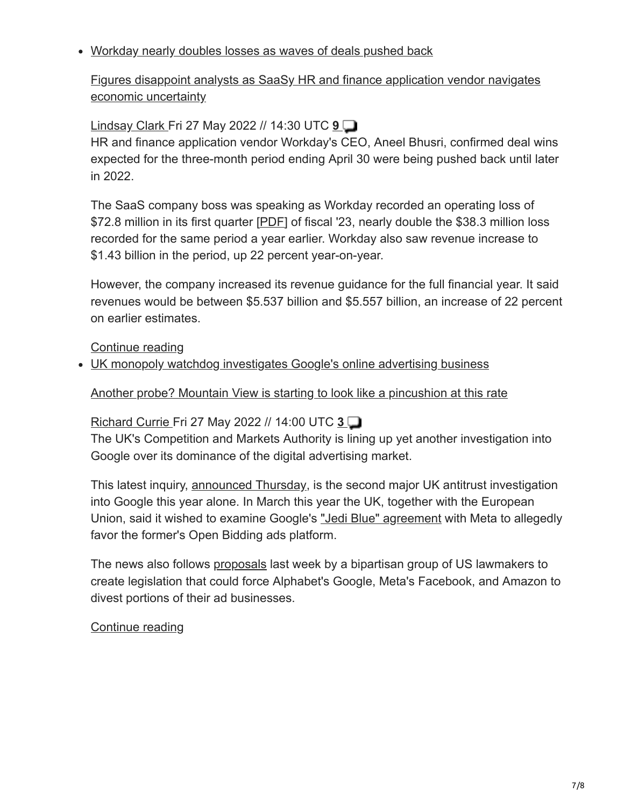### Workday nearly doubles losses as waves of deals pushed back

[Figures disappoint analysts as SaaSy HR and finance application vendor navigates](http://www.theregister.co.uk/2022/05/27/workday_near_doubles_losses_as/?td=keepreading-top) economic uncertainty

### [Lindsay Clark](http://www.theregister.co.uk/Author/Lindsay-Clark) Fri 27 May 2022 // 14:30 UTC **[9](https://forums.theregister.com/forum/all/2022/05/27/workday_near_doubles_losses_as/)**

HR and finance application vendor Workday's CEO, Aneel Bhusri, confirmed deal wins expected for the three-month period ending April 30 were being pushed back until later in 2022.

The SaaS company boss was speaking as Workday recorded an operating loss of \$72.8 million in its first quarter [[PDF](https://www.workday.com/content/dam/web/en-us/documents/investor/workday-fiscal-2023-first-quarter-investor-presentation.pdf)] of fiscal '23, nearly double the \$38.3 million loss recorded for the same period a year earlier. Workday also saw revenue increase to \$1.43 billion in the period, up 22 percent year-on-year.

However, the company increased its revenue guidance for the full financial year. It said revenues would be between \$5.537 billion and \$5.557 billion, an increase of 22 percent on earlier estimates.

[Continue reading](http://www.theregister.co.uk/2022/05/27/workday_near_doubles_losses_as/?td=keepreading-btm)

UK monopoly watchdog investigates Google's online advertising business

[Another probe? Mountain View is starting to look like a pincushion at this rate](http://www.theregister.co.uk/2022/05/27/cma_google_ad_dominance/?td=keepreading-top)

### [Richard Currie F](http://www.theregister.co.uk/Author/Richard-Currie)ri 27 May 2022 // 14:00 UTC **[3](https://forums.theregister.com/forum/all/2022/05/27/cma_google_ad_dominance/)**

The UK's Competition and Markets Authority is lining up yet another investigation into Google over its dominance of the digital advertising market.

This latest inquiry, [announced Thursday,](https://www.gov.uk/government/news/google-probed-over-potential-abuse-of-dominance-in-ad-tech) is the second major UK antitrust investigation into Google this year alone. In March this year the UK, together with the European Union, said it wished to examine Google's ["Jedi Blue" agreement](https://www.theregister.com/2022/03/11/cma_ec_blue_jedi/) with Meta to allegedly favor the former's Open Bidding ads platform.

The news also follows [proposals](https://www.theregister.com/2022/05/19/senate_ctda_advertising/) last week by a bipartisan group of US lawmakers to create legislation that could force Alphabet's Google, Meta's Facebook, and Amazon to divest portions of their ad businesses.